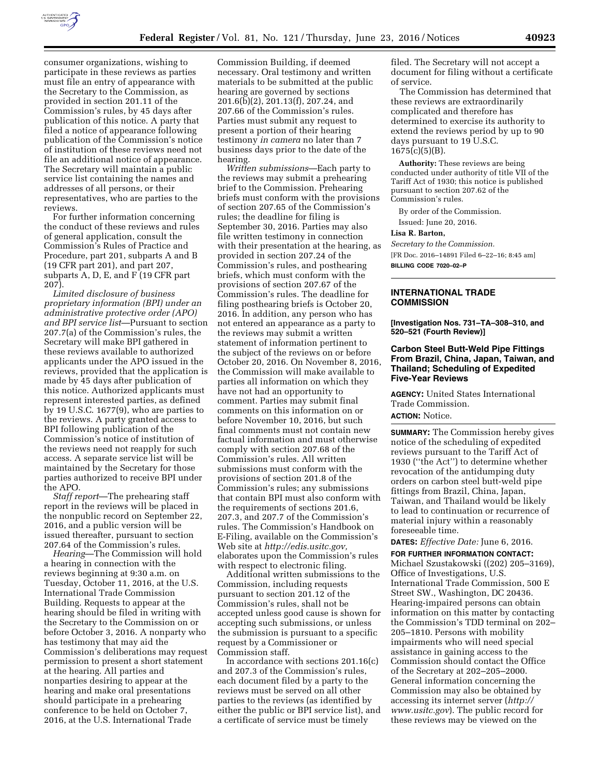

consumer organizations, wishing to participate in these reviews as parties must file an entry of appearance with the Secretary to the Commission, as provided in section 201.11 of the Commission's rules, by 45 days after publication of this notice. A party that filed a notice of appearance following publication of the Commission's notice of institution of these reviews need not file an additional notice of appearance. The Secretary will maintain a public service list containing the names and addresses of all persons, or their representatives, who are parties to the reviews.

For further information concerning the conduct of these reviews and rules of general application, consult the Commission's Rules of Practice and Procedure, part 201, subparts A and B (19 CFR part 201), and part 207, subparts A, D, E, and F (19 CFR part 207).

*Limited disclosure of business proprietary information (BPI) under an administrative protective order (APO) and BPI service list*—Pursuant to section 207.7(a) of the Commission's rules, the Secretary will make BPI gathered in these reviews available to authorized applicants under the APO issued in the reviews, provided that the application is made by 45 days after publication of this notice. Authorized applicants must represent interested parties, as defined by 19 U.S.C. 1677(9), who are parties to the reviews. A party granted access to BPI following publication of the Commission's notice of institution of the reviews need not reapply for such access. A separate service list will be maintained by the Secretary for those parties authorized to receive BPI under the APO.

*Staff report*—The prehearing staff report in the reviews will be placed in the nonpublic record on September 22, 2016, and a public version will be issued thereafter, pursuant to section 207.64 of the Commission's rules.

*Hearing*—The Commission will hold a hearing in connection with the reviews beginning at 9:30 a.m. on Tuesday, October 11, 2016, at the U.S. International Trade Commission Building. Requests to appear at the hearing should be filed in writing with the Secretary to the Commission on or before October 3, 2016. A nonparty who has testimony that may aid the Commission's deliberations may request permission to present a short statement at the hearing. All parties and nonparties desiring to appear at the hearing and make oral presentations should participate in a prehearing conference to be held on October 7, 2016, at the U.S. International Trade

Commission Building, if deemed necessary. Oral testimony and written materials to be submitted at the public hearing are governed by sections 201.6(b)(2), 201.13(f), 207.24, and 207.66 of the Commission's rules. Parties must submit any request to present a portion of their hearing testimony *in camera* no later than 7 business days prior to the date of the hearing.

*Written submissions*—Each party to the reviews may submit a prehearing brief to the Commission. Prehearing briefs must conform with the provisions of section 207.65 of the Commission's rules; the deadline for filing is September 30, 2016. Parties may also file written testimony in connection with their presentation at the hearing, as provided in section 207.24 of the Commission's rules, and posthearing briefs, which must conform with the provisions of section 207.67 of the Commission's rules. The deadline for filing posthearing briefs is October 20, 2016. In addition, any person who has not entered an appearance as a party to the reviews may submit a written statement of information pertinent to the subject of the reviews on or before October 20, 2016. On November 8, 2016, the Commission will make available to parties all information on which they have not had an opportunity to comment. Parties may submit final comments on this information on or before November 10, 2016, but such final comments must not contain new factual information and must otherwise comply with section 207.68 of the Commission's rules. All written submissions must conform with the provisions of section 201.8 of the Commission's rules; any submissions that contain BPI must also conform with the requirements of sections 201.6, 207.3, and 207.7 of the Commission's rules. The Commission's Handbook on E-Filing, available on the Commission's Web site at *[http://edis.usitc.gov,](http://edis.usitc.gov)*  elaborates upon the Commission's rules with respect to electronic filing.

Additional written submissions to the Commission, including requests pursuant to section 201.12 of the Commission's rules, shall not be accepted unless good cause is shown for accepting such submissions, or unless the submission is pursuant to a specific request by a Commissioner or Commission staff.

In accordance with sections 201.16(c) and 207.3 of the Commission's rules, each document filed by a party to the reviews must be served on all other parties to the reviews (as identified by either the public or BPI service list), and a certificate of service must be timely

filed. The Secretary will not accept a document for filing without a certificate of service.

The Commission has determined that these reviews are extraordinarily complicated and therefore has determined to exercise its authority to extend the reviews period by up to 90 days pursuant to 19 U.S.C. 1675(c)(5)(B).

**Authority:** These reviews are being conducted under authority of title VII of the Tariff Act of 1930; this notice is published pursuant to section 207.62 of the Commission's rules.

By order of the Commission.

Issued: June 20, 2016.

# **Lisa R. Barton,**

*Secretary to the Commission.* 

[FR Doc. 2016–14891 Filed 6–22–16; 8:45 am]

**BILLING CODE 7020–02–P** 

## **INTERNATIONAL TRADE COMMISSION**

**[Investigation Nos. 731–TA–308–310, and 520–521 (Fourth Review)]** 

# **Carbon Steel Butt-Weld Pipe Fittings From Brazil, China, Japan, Taiwan, and Thailand; Scheduling of Expedited Five-Year Reviews**

**AGENCY:** United States International Trade Commission. **ACTION:** Notice.

**SUMMARY:** The Commission hereby gives notice of the scheduling of expedited reviews pursuant to the Tariff Act of 1930 (''the Act'') to determine whether revocation of the antidumping duty orders on carbon steel butt-weld pipe fittings from Brazil, China, Japan, Taiwan, and Thailand would be likely to lead to continuation or recurrence of material injury within a reasonably foreseeable time.

**DATES:** *Effective Date:* June 6, 2016.

**FOR FURTHER INFORMATION CONTACT:**  Michael Szustakowski ((202) 205–3169), Office of Investigations, U.S. International Trade Commission, 500 E Street SW., Washington, DC 20436. Hearing-impaired persons can obtain information on this matter by contacting the Commission's TDD terminal on 202– 205–1810. Persons with mobility impairments who will need special assistance in gaining access to the Commission should contact the Office of the Secretary at 202–205–2000. General information concerning the Commission may also be obtained by accessing its internet server (*[http://](http://www.usitc.gov) [www.usitc.gov](http://www.usitc.gov)*). The public record for these reviews may be viewed on the